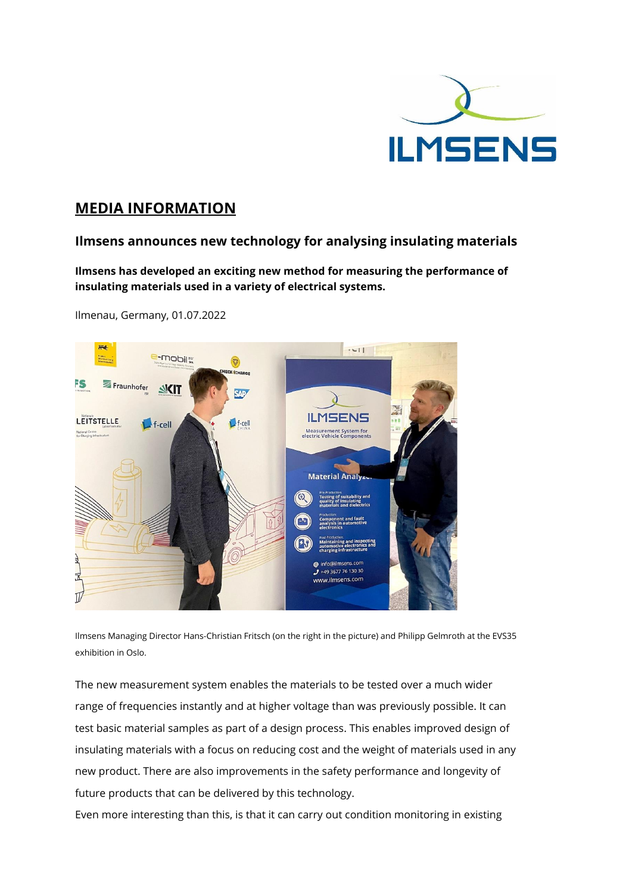

## **MEDIA INFORMATION**

## **Ilmsens announces new technology for analysing insulating materials**

**Ilmsens has developed an exciting new method for measuring the performance of insulating materials used in a variety of electrical systems.** 

Ilmenau, Germany, 01.07.2022



Ilmsens Managing Director Hans-Christian Fritsch (on the right in the picture) and Philipp Gelmroth at the EVS35 exhibition in Oslo.

The new measurement system enables the materials to be tested over a much wider range of frequencies instantly and at higher voltage than was previously possible. It can test basic material samples as part of a design process. This enables improved design of insulating materials with a focus on reducing cost and the weight of materials used in any new product. There are also improvements in the safety performance and longevity of future products that can be delivered by this technology.

Even more interesting than this, is that it can carry out condition monitoring in existing